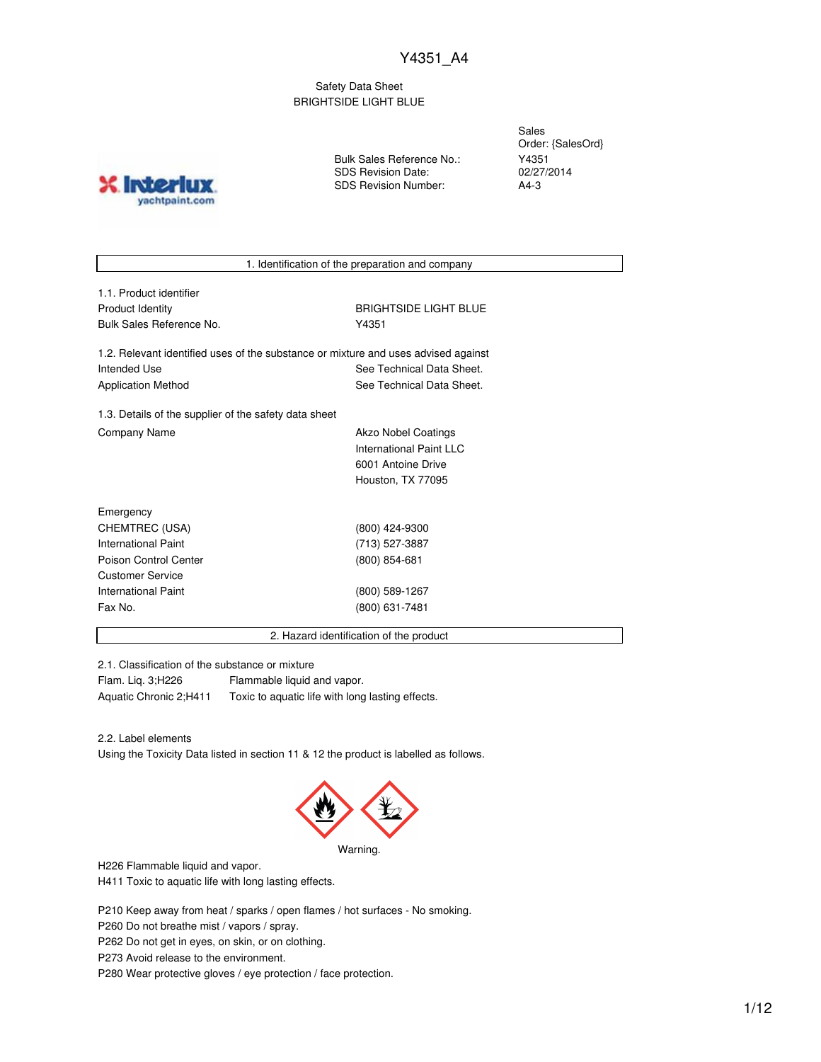Safety Data Sheet BRIGHTSIDE LIGHT BLUE

**INTO** yachtpaint.com

Bulk Sales Reference No.: SDS Revision Date: SDS Revision Number:

Sales Order: {SalesOrd} Y4351 02/27/2014 A4-3

1. Identification of the preparation and company

| 1.1. Product identifier  |
|--------------------------|
| Product Identity         |
| Bulk Sales Reference No. |

**BRIGHTSIDE LIGHT BLUE** Y4351

1.2. Relevant identified uses of the substance or mixture and uses advised against Intended Use **See Technical Data Sheet.** See Technical Data Sheet. Application Method **See Technical Data Sheet.** 

1.3. Details of the supplier of the safety data sheet Company Name **Akzo Nobel Coatings** 

International Paint LLC 6001 Antoine Drive Houston, TX 77095

| Emergency                  |                 |  |
|----------------------------|-----------------|--|
| CHEMTREC (USA)             | (800) 424-9300  |  |
| International Paint        | (713) 527-3887  |  |
| Poison Control Center      | $(800)$ 854-681 |  |
| <b>Customer Service</b>    |                 |  |
| <b>International Paint</b> | (800) 589-1267  |  |
| Fax No.                    | (800) 631-7481  |  |
|                            |                 |  |

2. Hazard identification of the product

2.1. Classification of the substance or mixture

Flam. Liq. 3;H226 Flammable liquid and vapor. Aquatic Chronic 2;H411 Toxic to aquatic life with long lasting effects.

2.2. Label elements

Using the Toxicity Data listed in section 11 & 12 the product is labelled as follows.



Warning.

H226 Flammable liquid and vapor.

H411 Toxic to aquatic life with long lasting effects.

P210 Keep away from heat / sparks / open flames / hot surfaces - No smoking.

P260 Do not breathe mist / vapors / spray.

P262 Do not get in eyes, on skin, or on clothing.

P273 Avoid release to the environment.

P280 Wear protective gloves / eye protection / face protection.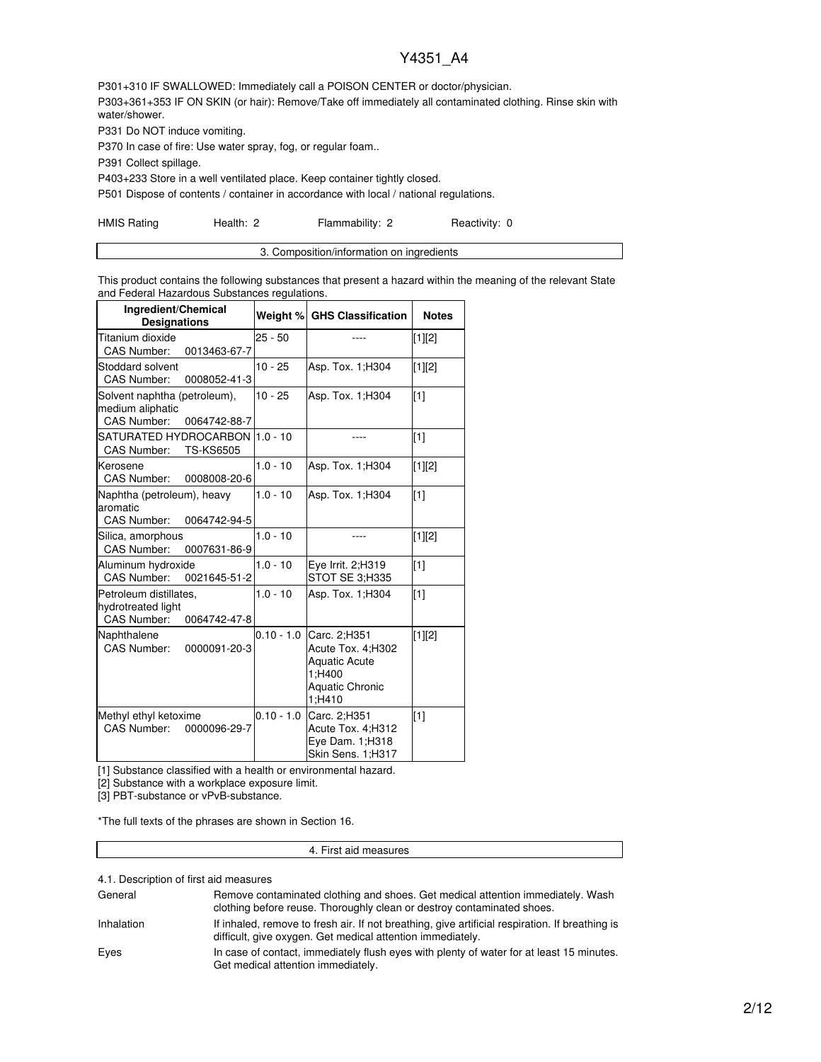P301+310 IF SWALLOWED: Immediately call a POISON CENTER or doctor/physician. P303+361+353 IF ON SKIN (or hair): Remove/Take off immediately all contaminated clothing. Rinse skin with water/shower.

P331 Do NOT induce vomiting.

P370 In case of fire: Use water spray, fog, or regular foam..

P391 Collect spillage.

P403+233 Store in a well ventilated place. Keep container tightly closed.

P501 Dispose of contents / container in accordance with local / national regulations.

HMIS Rating **Health: 2** Flammability: 2 Reactivity: 0

This product contains the following substances that present a hazard within the meaning of the relevant State and Federal Hazardous Substances regulations.

| Ingredient/Chemical<br><b>Designations</b>                                             | Weight %     | <b>GHS Classification</b>                                                                               | <b>Notes</b> |
|----------------------------------------------------------------------------------------|--------------|---------------------------------------------------------------------------------------------------------|--------------|
| Titanium dioxide<br>CAS Number:<br>0013463-67-7                                        | $25 - 50$    |                                                                                                         | [1][2]       |
| Stoddard solvent<br><b>CAS Number:</b><br>0008052-41-3                                 | $10 - 25$    | Asp. Tox. 1; H304                                                                                       | [1][2]       |
| Solvent naphtha (petroleum),<br>medium aliphatic<br><b>CAS Number:</b><br>0064742-88-7 | $10 - 25$    | Asp. Tox. 1; H304                                                                                       | [1]          |
| SATURATED HYDROCARBON  1.0 - 10<br>CAS Number:<br><b>TS-KS6505</b>                     |              |                                                                                                         | $\sqrt{11}$  |
| Kerosene<br><b>CAS Number:</b><br>0008008-20-6                                         | $1.0 - 10$   | Asp. Tox. 1; H304                                                                                       | $[1][2]$     |
| Naphtha (petroleum), heavy<br>aromatic<br>CAS Number:<br>0064742-94-5                  | $1.0 - 10$   | Asp. Tox. 1; H304                                                                                       | $\sqrt{11}$  |
| Silica, amorphous<br>CAS Number:<br>0007631-86-9                                       | $1.0 - 10$   | ----                                                                                                    | [1][2]       |
| Aluminum hydroxide<br><b>CAS Number:</b><br>0021645-51-2                               | $1.0 - 10$   | Eye Irrit. 2;H319<br>STOT SE 3:H335                                                                     | $\sqrt{11}$  |
| Petroleum distillates,<br>hydrotreated light<br><b>CAS Number:</b><br>0064742-47-8     | $1.0 - 10$   | Asp. Tox. 1:H304                                                                                        | $\sqrt{11}$  |
| Naphthalene<br><b>CAS Number:</b><br>0000091-20-3                                      | $0.10 - 1.0$ | Carc. 2:H351<br>Acute Tox. 4;H302<br><b>Aquatic Acute</b><br>1:H400<br><b>Aquatic Chronic</b><br>1:H410 | [1][2]       |
| Methyl ethyl ketoxime<br>CAS Number:<br>0000096-29-7                                   | $0.10 - 1.0$ | Carc. 2;H351<br>Acute Tox. 4;H312<br>Eye Dam. 1;H318<br>Skin Sens. 1;H317                               | [1]          |

[1] Substance classified with a health or environmental hazard.

[2] Substance with a workplace exposure limit.

[3] PBT-substance or vPvB-substance.

\*The full texts of the phrases are shown in Section 16.

#### 4. First aid measures

4.1. Description of first aid measures

| General    | Remove contaminated clothing and shoes. Get medical attention immediately. Wash<br>clothing before reuse. Thoroughly clean or destroy contaminated shoes.     |
|------------|---------------------------------------------------------------------------------------------------------------------------------------------------------------|
| Inhalation | If inhaled, remove to fresh air. If not breathing, give artificial respiration. If breathing is<br>difficult, give oxygen. Get medical attention immediately. |
| Eyes       | In case of contact, immediately flush eyes with plenty of water for at least 15 minutes.<br>Get medical attention immediately.                                |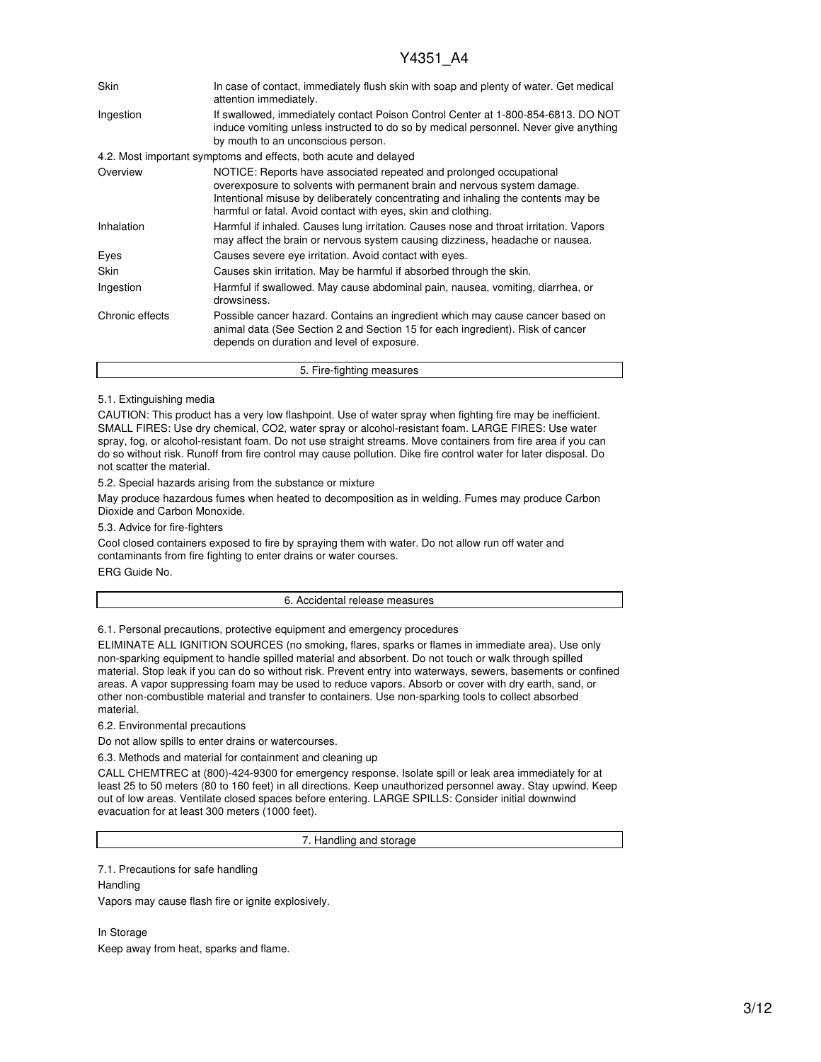| <b>Skin</b>     | In case of contact, immediately flush skin with soap and plenty of water. Get medical<br>attention immediately.                                                                                                                                                                                       |
|-----------------|-------------------------------------------------------------------------------------------------------------------------------------------------------------------------------------------------------------------------------------------------------------------------------------------------------|
| Ingestion       | If swallowed, immediately contact Poison Control Center at 1-800-854-6813. DO NOT<br>induce vomiting unless instructed to do so by medical personnel. Never give anything<br>by mouth to an unconscious person.                                                                                       |
|                 | 4.2. Most important symptoms and effects, both acute and delayed                                                                                                                                                                                                                                      |
| Overview        | NOTICE: Reports have associated repeated and prolonged occupational<br>overexposure to solvents with permanent brain and nervous system damage.<br>Intentional misuse by deliberately concentrating and inhaling the contents may be<br>harmful or fatal. Avoid contact with eyes, skin and clothing. |
| Inhalation      | Harmful if inhaled. Causes lung irritation. Causes nose and throat irritation. Vapors<br>may affect the brain or nervous system causing dizziness, headache or nausea.                                                                                                                                |
| Eyes            | Causes severe eye irritation. Avoid contact with eyes.                                                                                                                                                                                                                                                |
| Skin            | Causes skin irritation. May be harmful if absorbed through the skin.                                                                                                                                                                                                                                  |
| Ingestion       | Harmful if swallowed. May cause abdominal pain, nausea, vomiting, diarrhea, or<br>drowsiness.                                                                                                                                                                                                         |
| Chronic effects | Possible cancer hazard. Contains an ingredient which may cause cancer based on<br>animal data (See Section 2 and Section 15 for each ingredient). Risk of cancer<br>depends on duration and level of exposure.                                                                                        |
|                 | 5. Fire-fighting measures                                                                                                                                                                                                                                                                             |

### 5.1. Extinguishing media

CAUTION: This product has a very low flashpoint. Use of water spray when fighting fire may be inefficient. SMALL FIRES: Use dry chemical, CO2, water spray or alcohol-resistant foam. LARGE FIRES: Use water spray, fog, or alcohol-resistant foam. Do not use straight streams. Move containers from fire area if you can do so without risk. Runoff from fire control may cause pollution. Dike fire control water for later disposal. Do not scatter the material.

5.2. Special hazards arising from the substance or mixture

May produce hazardous fumes when heated to decomposition as in welding. Fumes may produce Carbon Dioxide and Carbon Monoxide.

5.3. Advice for fire-fighters

Cool closed containers exposed to fire by spraying them with water. Do not allow run off water and contaminants from fire fighting to enter drains or water courses. ERG Guide No.

#### 6. Accidental release measures

6.1. Personal precautions, protective equipment and emergency procedures

ELIMINATE ALL IGNITION SOURCES (no smoking, flares, sparks or flames in immediate area). Use only non-sparking equipment to handle spilled material and absorbent. Do not touch or walk through spilled material. Stop leak if you can do so without risk. Prevent entry into waterways, sewers, basements or confined areas. A vapor suppressing foam may be used to reduce vapors. Absorb or cover with dry earth, sand, or other non-combustible material and transfer to containers. Use non-sparking tools to collect absorbed material.

6.2. Environmental precautions

Do not allow spills to enter drains or watercourses.

6.3. Methods and material for containment and cleaning up

CALL CHEMTREC at (800)-424-9300 for emergency response. Isolate spill or leak area immediately for at least 25 to 50 meters (80 to 160 feet) in all directions. Keep unauthorized personnel away. Stay upwind. Keep out of low areas. Ventilate closed spaces before entering. LARGE SPILLS: Consider initial downwind evacuation for at least 300 meters (1000 feet).

7. Handling and storage

7.1. Precautions for safe handling

**Handling** Vapors may cause flash fire or ignite explosively.

In Storage Keep away from heat, sparks and flame.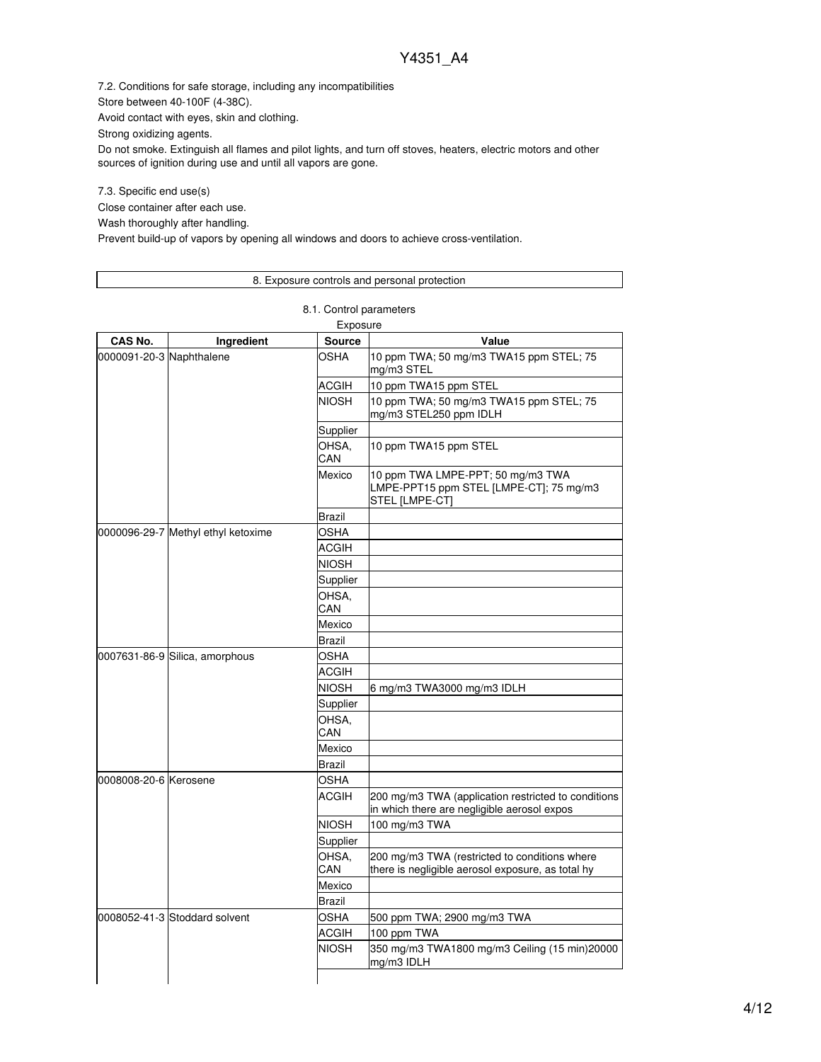7.2. Conditions for safe storage, including any incompatibilities

Store between 40-100F (4-38C).

Avoid contact with eyes, skin and clothing.

Strong oxidizing agents.

Do not smoke. Extinguish all flames and pilot lights, and turn off stoves, heaters, electric motors and other sources of ignition during use and until all vapors are gone.

7.3. Specific end use(s)

Close container after each use.

Wash thoroughly after handling.

Prevent build-up of vapors by opening all windows and doors to achieve cross-ventilation.

### 8. Exposure controls and personal protection

8.1. Control parameters

| Exposure                 |                                    |               |                                                                                                    |  |  |
|--------------------------|------------------------------------|---------------|----------------------------------------------------------------------------------------------------|--|--|
| CAS No.                  | Ingredient                         | <b>Source</b> | Value                                                                                              |  |  |
| 0000091-20-3 Naphthalene |                                    | OSHA          | 10 ppm TWA; 50 mg/m3 TWA15 ppm STEL; 75<br>mg/m3 STEL                                              |  |  |
|                          |                                    | ACGIH         | 10 ppm TWA15 ppm STEL                                                                              |  |  |
|                          |                                    | <b>NIOSH</b>  | 10 ppm TWA; 50 mg/m3 TWA15 ppm STEL; 75<br>mg/m3 STEL250 ppm IDLH                                  |  |  |
|                          |                                    | Supplier      |                                                                                                    |  |  |
|                          |                                    | OHSA.<br>CAN  | 10 ppm TWA15 ppm STEL                                                                              |  |  |
|                          |                                    | Mexico        | 10 ppm TWA LMPE-PPT; 50 mg/m3 TWA<br>LMPE-PPT15 ppm STEL [LMPE-CT]; 75 mg/m3<br>STEL [LMPE-CT]     |  |  |
|                          |                                    | Brazil        |                                                                                                    |  |  |
|                          | 0000096-29-7 Methyl ethyl ketoxime | OSHA          |                                                                                                    |  |  |
|                          |                                    | <b>ACGIH</b>  |                                                                                                    |  |  |
|                          |                                    | <b>NIOSH</b>  |                                                                                                    |  |  |
|                          |                                    | Supplier      |                                                                                                    |  |  |
|                          |                                    | OHSA,<br>CAN  |                                                                                                    |  |  |
|                          |                                    | Mexico        |                                                                                                    |  |  |
|                          |                                    | Brazil        |                                                                                                    |  |  |
|                          | 0007631-86-9 Silica, amorphous     | OSHA          |                                                                                                    |  |  |
|                          |                                    | <b>ACGIH</b>  |                                                                                                    |  |  |
|                          |                                    | <b>NIOSH</b>  | 6 mg/m3 TWA3000 mg/m3 IDLH                                                                         |  |  |
|                          |                                    | Supplier      |                                                                                                    |  |  |
|                          |                                    | OHSA,<br>CAN  |                                                                                                    |  |  |
|                          |                                    | Mexico        |                                                                                                    |  |  |
|                          |                                    | Brazil        |                                                                                                    |  |  |
| 0008008-20-6 Kerosene    |                                    | <b>OSHA</b>   |                                                                                                    |  |  |
|                          |                                    | <b>ACGIH</b>  | 200 mg/m3 TWA (application restricted to conditions<br>in which there are negligible aerosol expos |  |  |
|                          |                                    | <b>NIOSH</b>  | 100 mg/m3 TWA                                                                                      |  |  |
|                          |                                    | Supplier      |                                                                                                    |  |  |
|                          |                                    | OHSA,<br>CAN  | 200 mg/m3 TWA (restricted to conditions where<br>there is negligible aerosol exposure, as total hy |  |  |
|                          |                                    | Mexico        |                                                                                                    |  |  |
|                          |                                    | Brazil        |                                                                                                    |  |  |
|                          | 0008052-41-3 Stoddard solvent      | OSHA          | 500 ppm TWA; 2900 mg/m3 TWA                                                                        |  |  |
|                          |                                    | ACGIH         | 100 ppm TWA                                                                                        |  |  |
|                          |                                    | <b>NIOSH</b>  | 350 mg/m3 TWA1800 mg/m3 Ceiling (15 min)20000<br>mg/m3 IDLH                                        |  |  |
|                          |                                    |               |                                                                                                    |  |  |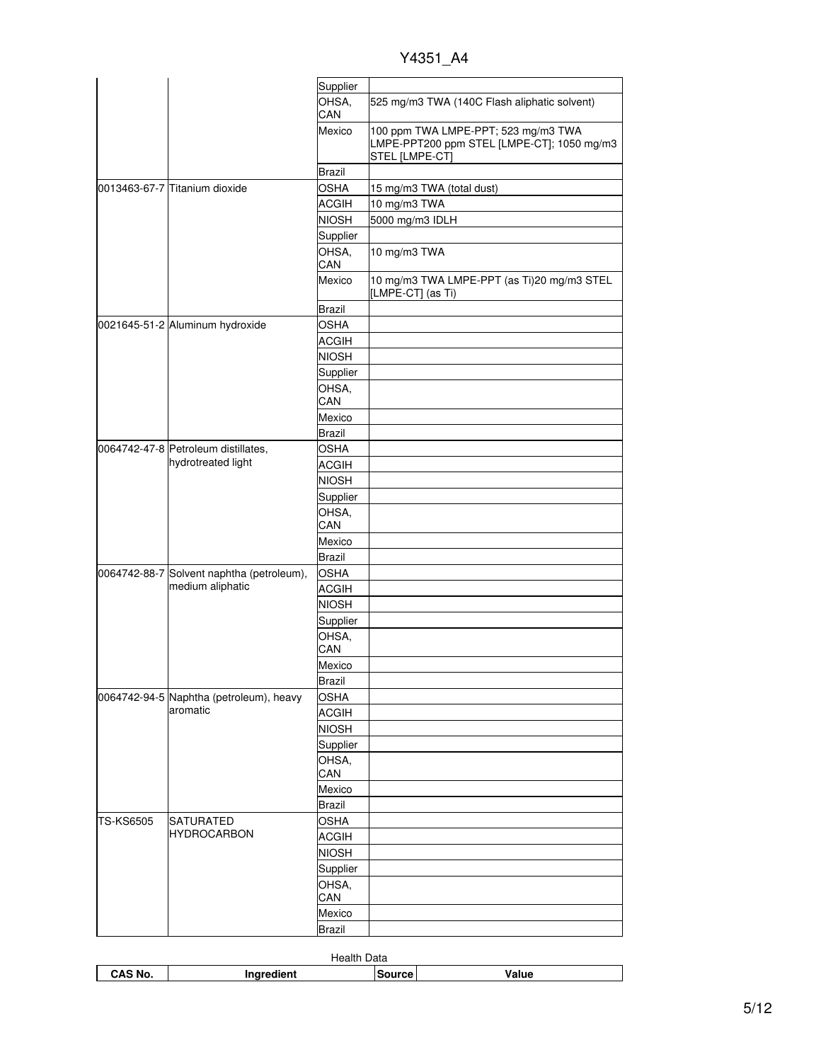Y4351\_A4

|                  |                                           | Supplier      |                                                                                                     |
|------------------|-------------------------------------------|---------------|-----------------------------------------------------------------------------------------------------|
|                  |                                           | OHSA,<br>CAN  | 525 mg/m3 TWA (140C Flash aliphatic solvent)                                                        |
|                  |                                           | Mexico        | 100 ppm TWA LMPE-PPT; 523 mg/m3 TWA<br>LMPE-PPT200 ppm STEL [LMPE-CT]; 1050 mg/m3<br>STEL [LMPE-CT] |
|                  |                                           | Brazil        |                                                                                                     |
|                  | 0013463-67-7 Titanium dioxide             | <b>OSHA</b>   | 15 mg/m3 TWA (total dust)                                                                           |
|                  |                                           | <b>ACGIH</b>  | 10 mg/m3 TWA                                                                                        |
|                  |                                           | <b>NIOSH</b>  | 5000 mg/m3 IDLH                                                                                     |
|                  |                                           | Supplier      |                                                                                                     |
|                  |                                           | OHSA,         | 10 mg/m3 TWA                                                                                        |
|                  |                                           | CAN           |                                                                                                     |
|                  |                                           | Mexico        | 10 mg/m3 TWA LMPE-PPT (as Ti)20 mg/m3 STEL<br>[LMPE-CT] (as Ti)                                     |
|                  |                                           | <b>Brazil</b> |                                                                                                     |
|                  | 0021645-51-2 Aluminum hydroxide           | <b>OSHA</b>   |                                                                                                     |
|                  |                                           | <b>ACGIH</b>  |                                                                                                     |
|                  |                                           | <b>NIOSH</b>  |                                                                                                     |
|                  |                                           | Supplier      |                                                                                                     |
|                  |                                           | OHSA,         |                                                                                                     |
|                  |                                           | CAN           |                                                                                                     |
|                  |                                           | Mexico        |                                                                                                     |
|                  |                                           | Brazil        |                                                                                                     |
|                  | 0064742-47-8 Petroleum distillates,       | <b>OSHA</b>   |                                                                                                     |
|                  | hydrotreated light                        | ACGIH         |                                                                                                     |
|                  |                                           | <b>NIOSH</b>  |                                                                                                     |
|                  |                                           | Supplier      |                                                                                                     |
|                  |                                           | OHSA,<br>CAN  |                                                                                                     |
|                  |                                           | Mexico        |                                                                                                     |
|                  |                                           | Brazil        |                                                                                                     |
|                  | 0064742-88-7 Solvent naphtha (petroleum), | <b>OSHA</b>   |                                                                                                     |
|                  | medium aliphatic                          | <b>ACGIH</b>  |                                                                                                     |
|                  |                                           | <b>NIOSH</b>  |                                                                                                     |
|                  |                                           | Supplier      |                                                                                                     |
|                  |                                           | OHSA,         |                                                                                                     |
|                  |                                           | CAN           |                                                                                                     |
|                  |                                           | Mexico        |                                                                                                     |
|                  |                                           | <b>Brazil</b> |                                                                                                     |
|                  | 0064742-94-5 Naphtha (petroleum), heavy   | <b>OSHA</b>   |                                                                                                     |
|                  | aromatic                                  | <b>ACGIH</b>  |                                                                                                     |
|                  |                                           | <b>NIOSH</b>  |                                                                                                     |
|                  |                                           | Supplier      |                                                                                                     |
|                  |                                           | OHSA,         |                                                                                                     |
|                  |                                           | CAN           |                                                                                                     |
|                  |                                           | Mexico        |                                                                                                     |
|                  |                                           | Brazil        |                                                                                                     |
| <b>TS-KS6505</b> | <b>SATURATED</b>                          | OSHA          |                                                                                                     |
|                  | <b>HYDROCARBON</b>                        | <b>ACGIH</b>  |                                                                                                     |
|                  |                                           | <b>NIOSH</b>  |                                                                                                     |
|                  |                                           | Supplier      |                                                                                                     |
|                  |                                           | OHSA,<br>CAN  |                                                                                                     |
|                  |                                           | Mexico        |                                                                                                     |
|                  |                                           | Brazil        |                                                                                                     |
|                  |                                           |               |                                                                                                     |

| Health<br>Data |                |        |       |
|----------------|----------------|--------|-------|
| CAS No.        | lient<br>----- | Source | Value |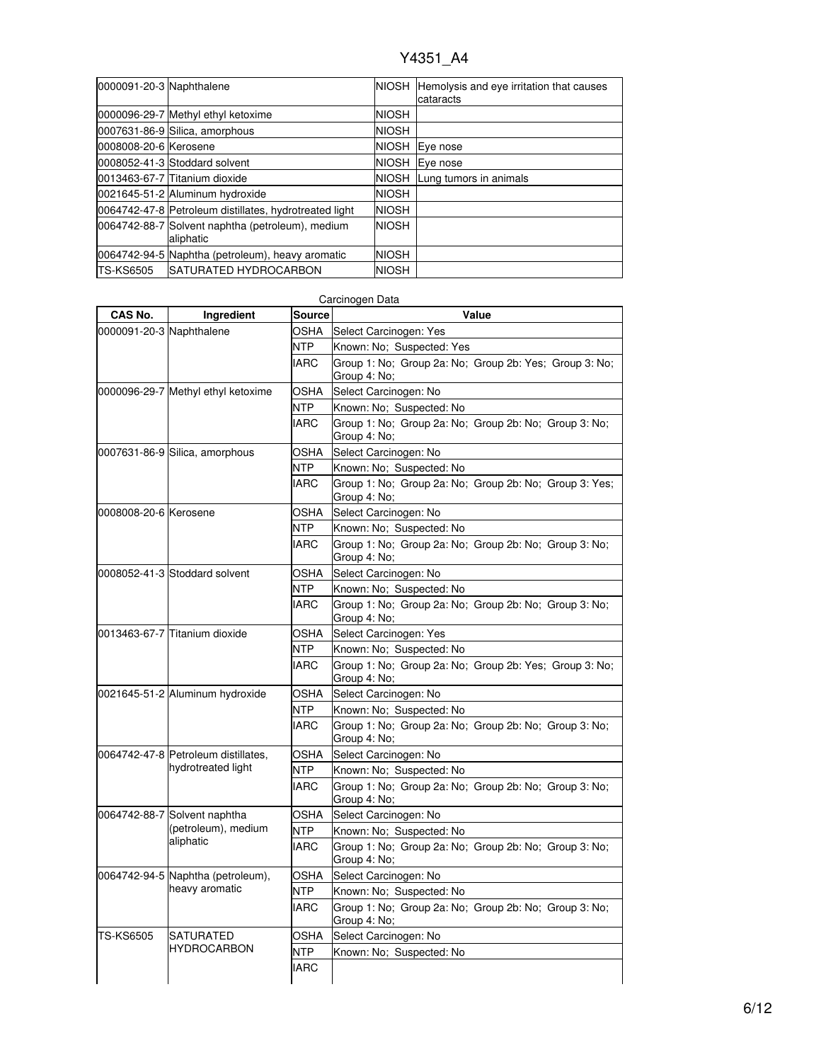| 0000091-20-3 Naphthalene |                                                               |              | NIOSH Hemolysis and eye irritation that causes<br>cataracts |
|--------------------------|---------------------------------------------------------------|--------------|-------------------------------------------------------------|
|                          | 0000096-29-7 Methyl ethyl ketoxime                            | <b>NIOSH</b> |                                                             |
|                          | 0007631-86-9 Silica, amorphous                                | <b>NIOSH</b> |                                                             |
| 0008008-20-6 Kerosene    |                                                               | <b>NIOSH</b> | Eye nose                                                    |
|                          | 0008052-41-3 Stoddard solvent                                 | <b>NIOSH</b> | Eye nose                                                    |
|                          | 0013463-67-7 Titanium dioxide                                 | <b>NIOSH</b> | Lung tumors in animals                                      |
|                          | 0021645-51-2 Aluminum hydroxide                               | <b>NIOSH</b> |                                                             |
|                          | 0064742-47-8 Petroleum distillates, hydrotreated light        | <b>NIOSH</b> |                                                             |
|                          | 0064742-88-7 Solvent naphtha (petroleum), medium<br>aliphatic | <b>NIOSH</b> |                                                             |
|                          | 0064742-94-5 Naphtha (petroleum), heavy aromatic              | <b>NIOSH</b> |                                                             |
| <b>TS-KS6505</b>         | <b>ISATURATED HYDROCARBON</b>                                 | <b>NIOSH</b> |                                                             |

| Carcinogen Data          |                                                           |               |                                                                        |  |
|--------------------------|-----------------------------------------------------------|---------------|------------------------------------------------------------------------|--|
| CAS No.                  | Ingredient                                                | <b>Source</b> | Value                                                                  |  |
| 0000091-20-3 Naphthalene |                                                           | OSHA          | Select Carcinogen: Yes                                                 |  |
|                          |                                                           | NTP           | Known: No; Suspected: Yes                                              |  |
|                          |                                                           | <b>IARC</b>   | Group 1: No: Group 2a: No: Group 2b: Yes: Group 3: No:<br>Group 4: No; |  |
|                          | 0000096-29-7 Methyl ethyl ketoxime                        | OSHA          | Select Carcinogen: No                                                  |  |
|                          |                                                           | <b>NTP</b>    | Known: No; Suspected: No                                               |  |
|                          |                                                           | <b>IARC</b>   | Group 1: No; Group 2a: No; Group 2b: No; Group 3: No;<br>Group 4: No;  |  |
|                          | 0007631-86-9 Silica, amorphous                            | <b>OSHA</b>   | Select Carcinogen: No                                                  |  |
|                          |                                                           | <b>NTP</b>    | Known: No; Suspected: No                                               |  |
|                          |                                                           | <b>IARC</b>   | Group 1: No; Group 2a: No; Group 2b: No; Group 3: Yes;<br>Group 4: No; |  |
| 0008008-20-6 Kerosene    |                                                           | <b>OSHA</b>   | Select Carcinogen: No                                                  |  |
|                          |                                                           | <b>NTP</b>    | Known: No; Suspected: No                                               |  |
|                          |                                                           | <b>IARC</b>   | Group 1: No; Group 2a: No; Group 2b: No; Group 3: No;<br>Group 4: No;  |  |
|                          | 0008052-41-3 Stoddard solvent                             | OSHA          | Select Carcinogen: No                                                  |  |
|                          |                                                           | NTP           | Known: No; Suspected: No                                               |  |
|                          |                                                           | <b>IARC</b>   | Group 1: No; Group 2a: No; Group 2b: No; Group 3: No;<br>Group 4: No;  |  |
|                          | 0013463-67-7 Titanium dioxide                             | OSHA          | Select Carcinogen: Yes                                                 |  |
|                          |                                                           | NTP           | Known: No: Suspected: No                                               |  |
|                          |                                                           | <b>IARC</b>   | Group 1: No; Group 2a: No; Group 2b: Yes; Group 3: No;<br>Group 4: No; |  |
|                          | 0021645-51-2 Aluminum hydroxide                           | <b>OSHA</b>   | Select Carcinogen: No                                                  |  |
|                          |                                                           | <b>NTP</b>    | Known: No; Suspected: No                                               |  |
|                          |                                                           | <b>IARC</b>   | Group 1: No; Group 2a: No; Group 2b: No; Group 3: No;<br>Group 4: No;  |  |
|                          | 0064742-47-8 Petroleum distillates,<br>hydrotreated light | OSHA          | Select Carcinogen: No                                                  |  |
|                          |                                                           | <b>NTP</b>    | Known: No; Suspected: No                                               |  |
|                          |                                                           | <b>IARC</b>   | Group 1: No; Group 2a: No; Group 2b: No; Group 3: No;<br>Group 4: No;  |  |
|                          | 0064742-88-7 Solvent naphtha                              | OSHA          | Select Carcinogen: No                                                  |  |
|                          | (petroleum), medium                                       | NTP           | Known: No; Suspected: No                                               |  |
|                          | aliphatic                                                 | <b>IARC</b>   | Group 1: No; Group 2a: No; Group 2b: No; Group 3: No;<br>Group 4: No;  |  |
|                          | 0064742-94-5 Naphtha (petroleum),<br>heavy aromatic       | OSHA          | Select Carcinogen: No                                                  |  |
|                          |                                                           | <b>NTP</b>    | Known: No; Suspected: No                                               |  |
|                          |                                                           | <b>IARC</b>   | Group 1: No; Group 2a: No; Group 2b: No; Group 3: No;<br>Group 4: No;  |  |
| <b>TS-KS6505</b>         | <b>SATURATED</b>                                          | <b>OSHA</b>   | Select Carcinogen: No                                                  |  |
|                          | <b>HYDROCARBON</b>                                        | <b>NTP</b>    | Known: No; Suspected: No                                               |  |
|                          |                                                           | <b>IARC</b>   |                                                                        |  |

# 6/12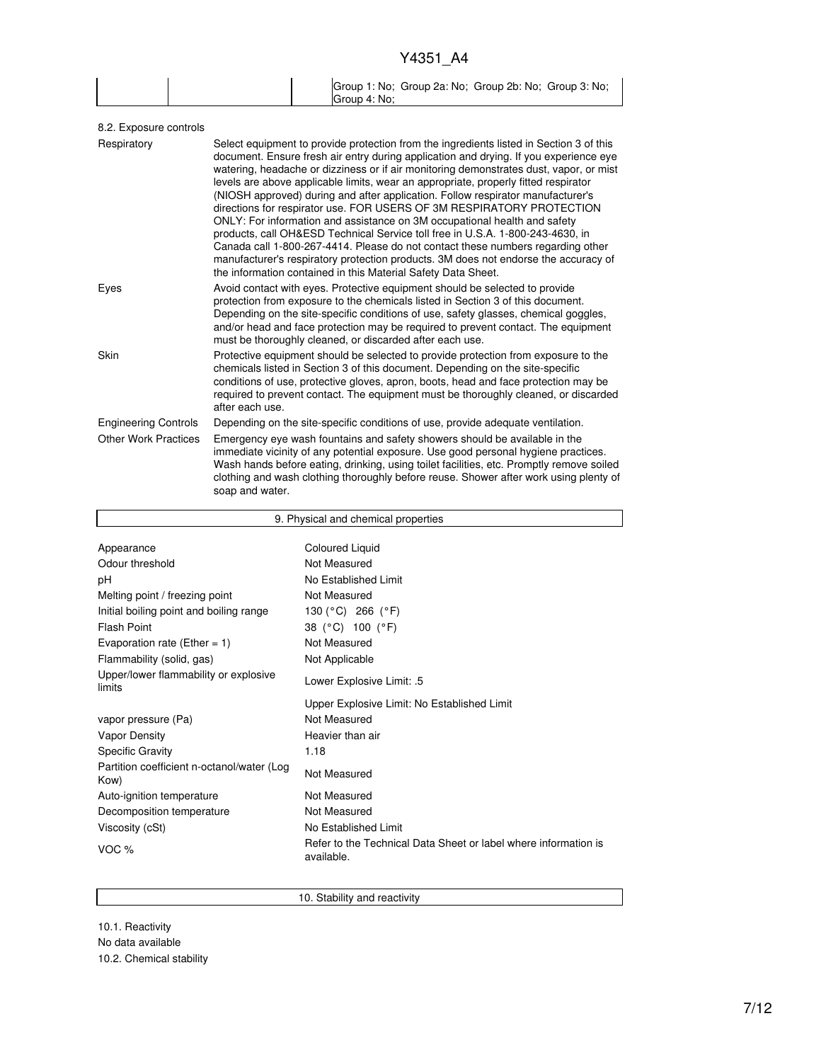|  | Group 1: No; Group 2a: No; Group 2b: No; Group 3: No; |
|--|-------------------------------------------------------|
|  | Group 4: No:                                          |

| Select equipment to provide protection from the ingredients listed in Section 3 of this<br>document. Ensure fresh air entry during application and drying. If you experience eye<br>watering, headache or dizziness or if air monitoring demonstrates dust, vapor, or mist<br>levels are above applicable limits, wear an appropriate, properly fitted respirator<br>(NIOSH approved) during and after application. Follow respirator manufacturer's<br>directions for respirator use. FOR USERS OF 3M RESPIRATORY PROTECTION<br>ONLY: For information and assistance on 3M occupational health and safety<br>products, call OH&ESD Technical Service toll free in U.S.A. 1-800-243-4630, in<br>Canada call 1-800-267-4414. Please do not contact these numbers regarding other<br>manufacturer's respiratory protection products. 3M does not endorse the accuracy of<br>the information contained in this Material Safety Data Sheet. |
|-----------------------------------------------------------------------------------------------------------------------------------------------------------------------------------------------------------------------------------------------------------------------------------------------------------------------------------------------------------------------------------------------------------------------------------------------------------------------------------------------------------------------------------------------------------------------------------------------------------------------------------------------------------------------------------------------------------------------------------------------------------------------------------------------------------------------------------------------------------------------------------------------------------------------------------------|
| Avoid contact with eyes. Protective equipment should be selected to provide<br>protection from exposure to the chemicals listed in Section 3 of this document.<br>Depending on the site-specific conditions of use, safety glasses, chemical goggles,<br>and/or head and face protection may be required to prevent contact. The equipment<br>must be thoroughly cleaned, or discarded after each use.                                                                                                                                                                                                                                                                                                                                                                                                                                                                                                                                  |
| Protective equipment should be selected to provide protection from exposure to the<br>chemicals listed in Section 3 of this document. Depending on the site-specific<br>conditions of use, protective gloves, apron, boots, head and face protection may be<br>required to prevent contact. The equipment must be thoroughly cleaned, or discarded<br>after each use.                                                                                                                                                                                                                                                                                                                                                                                                                                                                                                                                                                   |
| Depending on the site-specific conditions of use, provide adequate ventilation.                                                                                                                                                                                                                                                                                                                                                                                                                                                                                                                                                                                                                                                                                                                                                                                                                                                         |
| Emergency eye wash fountains and safety showers should be available in the<br>immediate vicinity of any potential exposure. Use good personal hygiene practices.<br>Wash hands before eating, drinking, using toilet facilities, etc. Promptly remove soiled<br>clothing and wash clothing thoroughly before reuse. Shower after work using plenty of<br>soap and water.                                                                                                                                                                                                                                                                                                                                                                                                                                                                                                                                                                |
|                                                                                                                                                                                                                                                                                                                                                                                                                                                                                                                                                                                                                                                                                                                                                                                                                                                                                                                                         |

| 9. Physical and chemical properties                |                                                                               |  |
|----------------------------------------------------|-------------------------------------------------------------------------------|--|
|                                                    |                                                                               |  |
| Appearance                                         | <b>Coloured Liquid</b>                                                        |  |
| Odour threshold                                    | Not Measured                                                                  |  |
| рH                                                 | No Established Limit                                                          |  |
| Melting point / freezing point                     | Not Measured                                                                  |  |
| Initial boiling point and boiling range            | 130 (°C) 266 (°F)                                                             |  |
| <b>Flash Point</b>                                 | 38 (°C) 100 (°F)                                                              |  |
| Evaporation rate (Ether = $1$ )                    | Not Measured                                                                  |  |
| Flammability (solid, gas)                          | Not Applicable                                                                |  |
| Upper/lower flammability or explosive<br>limits    | Lower Explosive Limit: .5                                                     |  |
|                                                    | Upper Explosive Limit: No Established Limit                                   |  |
| vapor pressure (Pa)                                | Not Measured                                                                  |  |
| <b>Vapor Density</b>                               | Heavier than air                                                              |  |
| <b>Specific Gravity</b>                            | 1.18                                                                          |  |
| Partition coefficient n-octanol/water (Log<br>Kow) | Not Measured                                                                  |  |
| Auto-ignition temperature                          | Not Measured                                                                  |  |
| Decomposition temperature                          | Not Measured                                                                  |  |
| Viscosity (cSt)                                    | No Established Limit                                                          |  |
| VOC %                                              | Refer to the Technical Data Sheet or label where information is<br>available. |  |

10. Stability and reactivity

10.1. Reactivity No data available 10.2. Chemical stability

 $\mathbf{r}$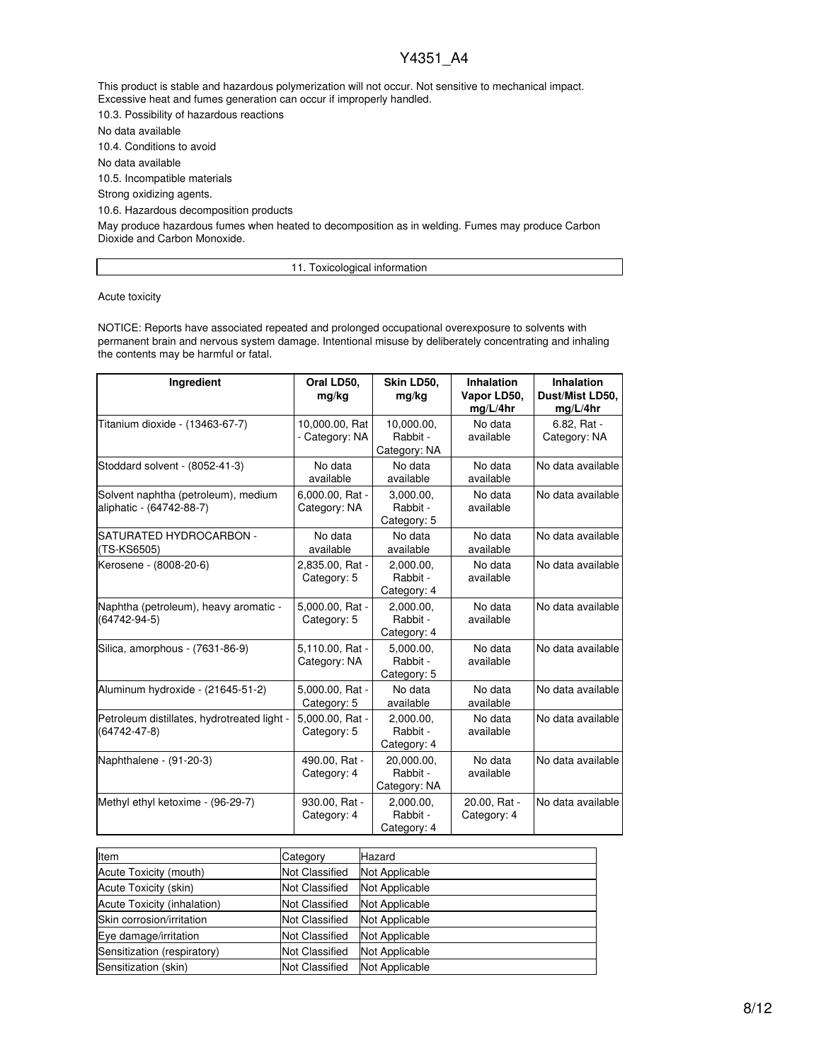This product is stable and hazardous polymerization will not occur. Not sensitive to mechanical impact. Excessive heat and fumes generation can occur if improperly handled.

10.3. Possibility of hazardous reactions

No data available

10.4. Conditions to avoid

No data available

10.5. Incompatible materials

Strong oxidizing agents.

10.6. Hazardous decomposition products

May produce hazardous fumes when heated to decomposition as in welding. Fumes may produce Carbon Dioxide and Carbon Monoxide.

11. Toxicological information

Acute toxicity

NOTICE: Reports have associated repeated and prolonged occupational overexposure to solvents with permanent brain and nervous system damage. Intentional misuse by deliberately concentrating and inhaling the contents may be harmful or fatal.

| Ingredient                                                        | Oral LD50,<br>mg/kg              | Skin LD50,<br>mg/kg                    | <b>Inhalation</b><br>Vapor LD50,<br>mg/L/4hr | Inhalation<br>Dust/Mist LD50,<br>mg/L/4hr |
|-------------------------------------------------------------------|----------------------------------|----------------------------------------|----------------------------------------------|-------------------------------------------|
| Titanium dioxide - (13463-67-7)                                   | 10,000.00, Rat<br>- Category: NA | 10,000.00,<br>Rabbit -<br>Category: NA | No data<br>available                         | 6.82, Rat -<br>Category: NA               |
| Stoddard solvent - (8052-41-3)                                    | No data<br>available             | No data<br>available                   | No data<br>available                         | No data available                         |
| Solvent naphtha (petroleum), medium<br>aliphatic - (64742-88-7)   | 6,000.00, Rat -<br>Category: NA  | 3,000.00,<br>Rabbit -<br>Category: 5   | No data<br>available                         | No data available                         |
| SATURATED HYDROCARBON -<br>(TS-KS6505)                            | No data<br>available             | No data<br>available                   | No data<br>available                         | No data available                         |
| Kerosene - (8008-20-6)                                            | 2,835.00, Rat -<br>Category: 5   | 2.000.00.<br>Rabbit -<br>Category: 4   | No data<br>available                         | No data available                         |
| Naphtha (petroleum), heavy aromatic -<br>$(64742 - 94 - 5)$       | 5,000.00, Rat -<br>Category: 5   | 2,000.00,<br>Rabbit -<br>Category: 4   | No data<br>available                         | No data available                         |
| Silica, amorphous - (7631-86-9)                                   | 5,110.00, Rat -<br>Category: NA  | 5,000.00,<br>Rabbit -<br>Category: 5   | No data<br>available                         | No data available                         |
| Aluminum hydroxide - (21645-51-2)                                 | 5,000.00, Rat -<br>Category: 5   | No data<br>available                   | No data<br>available                         | No data available                         |
| Petroleum distillates, hydrotreated light -<br>$(64742 - 47 - 8)$ | 5,000.00, Rat -<br>Category: 5   | 2,000.00,<br>Rabbit -<br>Category: 4   | No data<br>available                         | No data available                         |
| Naphthalene - (91-20-3)                                           | 490.00, Rat -<br>Category: 4     | 20,000.00,<br>Rabbit -<br>Category: NA | No data<br>available                         | No data available                         |
| Methyl ethyl ketoxime - (96-29-7)                                 | 930.00, Rat -<br>Category: 4     | 2,000.00,<br>Rabbit -<br>Category: 4   | 20.00, Rat -<br>Category: 4                  | No data available                         |

| <b>Item</b>                 | Category              | Hazard         |
|-----------------------------|-----------------------|----------------|
| Acute Toxicity (mouth)      | <b>Not Classified</b> | Not Applicable |
| Acute Toxicity (skin)       | <b>Not Classified</b> | Not Applicable |
| Acute Toxicity (inhalation) | <b>Not Classified</b> | Not Applicable |
| Skin corrosion/irritation   | <b>Not Classified</b> | Not Applicable |
| Eye damage/irritation       | <b>Not Classified</b> | Not Applicable |
| Sensitization (respiratory) | <b>Not Classified</b> | Not Applicable |
| Sensitization (skin)        | <b>Not Classified</b> | Not Applicable |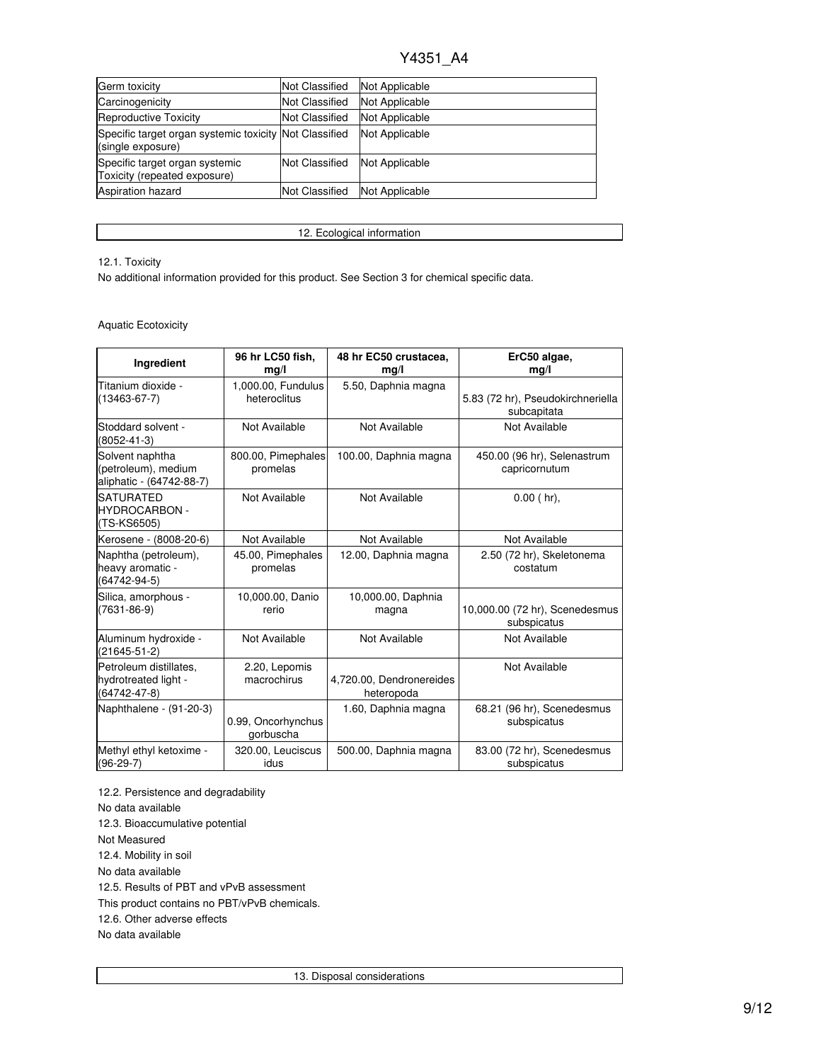| Germ toxicity                                                               | <b>Not Classified</b> | Not Applicable |
|-----------------------------------------------------------------------------|-----------------------|----------------|
| Carcinogenicity                                                             | <b>Not Classified</b> | Not Applicable |
| Reproductive Toxicity                                                       | <b>Not Classified</b> | Not Applicable |
| Specific target organ systemic toxicity Not Classified<br>(single exposure) |                       | Not Applicable |
| Specific target organ systemic<br>Toxicity (repeated exposure)              | <b>Not Classified</b> | Not Applicable |
| Aspiration hazard                                                           | <b>Not Classified</b> | Not Applicable |

12. Ecological information

### 12.1. Toxicity

No additional information provided for this product. See Section 3 for chemical specific data.

### Aquatic Ecotoxicity

| Ingredient                                                         | 96 hr LC50 fish,<br>mq/l           | 48 hr EC50 crustacea,<br>mg/l          | ErC50 algae,<br>mg/l                             |
|--------------------------------------------------------------------|------------------------------------|----------------------------------------|--------------------------------------------------|
| Titanium dioxide -<br>$(13463 - 67 - 7)$                           | 1,000.00, Fundulus<br>heteroclitus | 5.50, Daphnia magna                    | 5.83 (72 hr), Pseudokirchneriella<br>subcapitata |
| Stoddard solvent -<br>$(8052 - 41 - 3)$                            | Not Available                      | Not Available                          | Not Available                                    |
| Solvent naphtha<br>(petroleum), medium<br>aliphatic - (64742-88-7) | 800.00, Pimephales<br>promelas     | 100.00, Daphnia magna                  | 450.00 (96 hr), Selenastrum<br>capricornutum     |
| <b>SATURATED</b><br><b>HYDROCARBON -</b><br>(TS-KS6505)            | Not Available                      | Not Available                          | $0.00$ (hr).                                     |
| Kerosene - (8008-20-6)                                             | Not Available                      | Not Available                          | Not Available                                    |
| Naphtha (petroleum),<br>heavy aromatic -<br>$(64742 - 94 - 5)$     | 45.00, Pimephales<br>promelas      | 12.00, Daphnia magna                   | 2.50 (72 hr), Skeletonema<br>costatum            |
| Silica, amorphous -<br>$(7631 - 86 - 9)$                           | 10,000.00, Danio<br>rerio          | 10,000.00, Daphnia<br>magna            | 10,000.00 (72 hr), Scenedesmus<br>subspicatus    |
| Aluminum hydroxide -<br>$(21645 - 51 - 2)$                         | Not Available                      | Not Available                          | Not Available                                    |
| Petroleum distillates.<br>hydrotreated light -<br>(64742-47-8)     | 2.20, Lepomis<br>macrochirus       | 4,720.00, Dendronereides<br>heteropoda | Not Available                                    |
| Naphthalene - (91-20-3)                                            | 0.99, Oncorhynchus<br>gorbuscha    | 1.60, Daphnia magna                    | 68.21 (96 hr), Scenedesmus<br>subspicatus        |
| Methyl ethyl ketoxime -<br>$(96-29-7)$                             | 320.00, Leuciscus<br>idus          | 500.00, Daphnia magna                  | 83.00 (72 hr), Scenedesmus<br>subspicatus        |

12.2. Persistence and degradability No data available 12.3. Bioaccumulative potential Not Measured 12.4. Mobility in soil No data available 12.5. Results of PBT and vPvB assessment This product contains no PBT/vPvB chemicals. 12.6. Other adverse effects No data available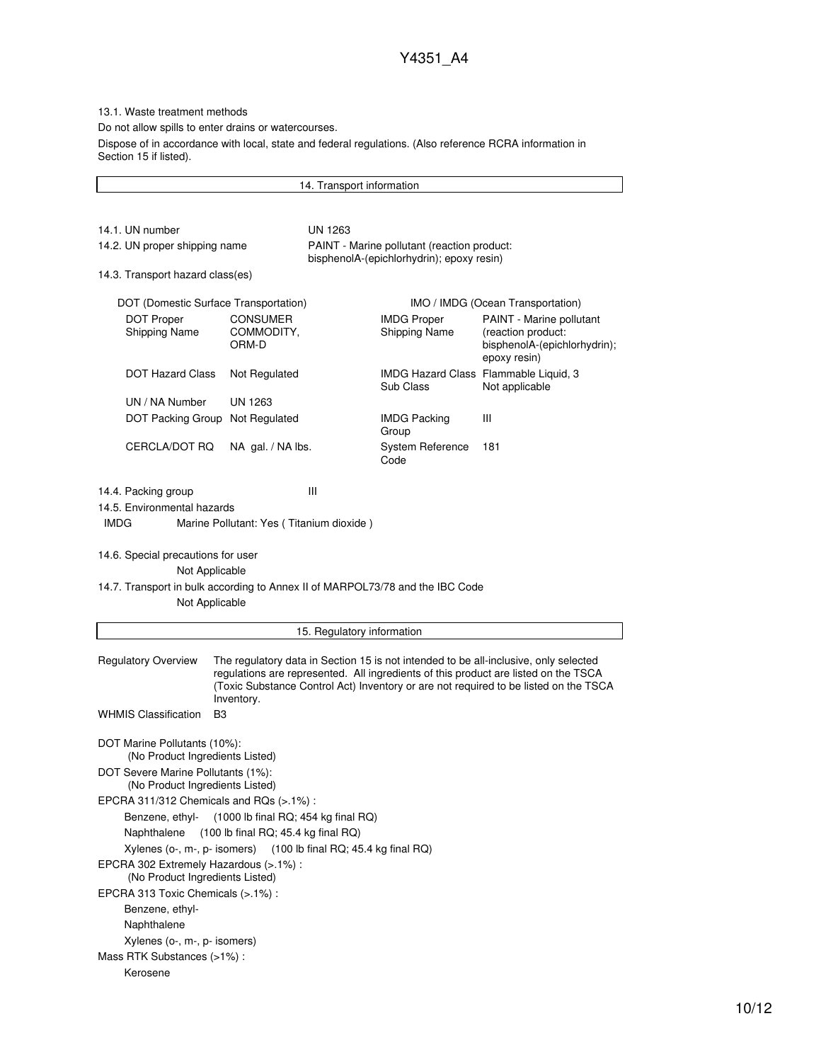13.1. Waste treatment methods

Do not allow spills to enter drains or watercourses.

Dispose of in accordance with local, state and federal regulations. (Also reference RCRA information in Section 15 if listed).

14. Transport information 14.1. UN number UN 1263 14.2. UN proper shipping name PAINT - Marine pollutant (reaction product: bisphenolA-(epichlorhydrin); epoxy resin) 14.3. Transport hazard class(es) DOT (Domestic Surface Transportation) IMO / IMDG (Ocean Transportation) DOT Proper Shipping Name CONSUMER COMMODITY, ORM-D IMDG Proper Shipping Name PAINT - Marine pollutant (reaction product: bisphenolA-(epichlorhydrin); epoxy resin) DOT Hazard Class Not Regulated IMDG Hazard Class Flammable Liquid, 3 Sub Class Not applicable UN / NA Number UN 1263 DOT Packing Group Not Regulated IMDG Packing Group III CERCLA/DOT RQ NA gal. / NA lbs. System Reference Code 181 14.4. Packing group III 14.5. Environmental hazards IMDG Marine Pollutant: Yes ( Titanium dioxide ) 14.6. Special precautions for user Not Applicable 14.7. Transport in bulk according to Annex II of MARPOL73/78 and the IBC Code Not Applicable 15. Regulatory information Regulatory Overview The regulatory data in Section 15 is not intended to be all-inclusive, only selected regulations are represented. All ingredients of this product are listed on the TSCA (Toxic Substance Control Act) Inventory or are not required to be listed on the TSCA Inventory. WHMIS Classification B3 DOT Marine Pollutants (10%): (No Product Ingredients Listed) DOT Severe Marine Pollutants (1%): (No Product Ingredients Listed) EPCRA 311/312 Chemicals and RQs (>.1%) : Benzene, ethyl- (1000 lb final RQ; 454 kg final RQ) Naphthalene (100 lb final RQ; 45.4 kg final RQ) Xylenes (o-, m-, p- isomers) (100 lb final RQ; 45.4 kg final RQ) EPCRA 302 Extremely Hazardous (>.1%) : (No Product Ingredients Listed) EPCRA 313 Toxic Chemicals (>.1%) : Benzene, ethyl-Naphthalene Xylenes (o-, m-, p- isomers) Mass RTK Substances (>1%) : Kerosene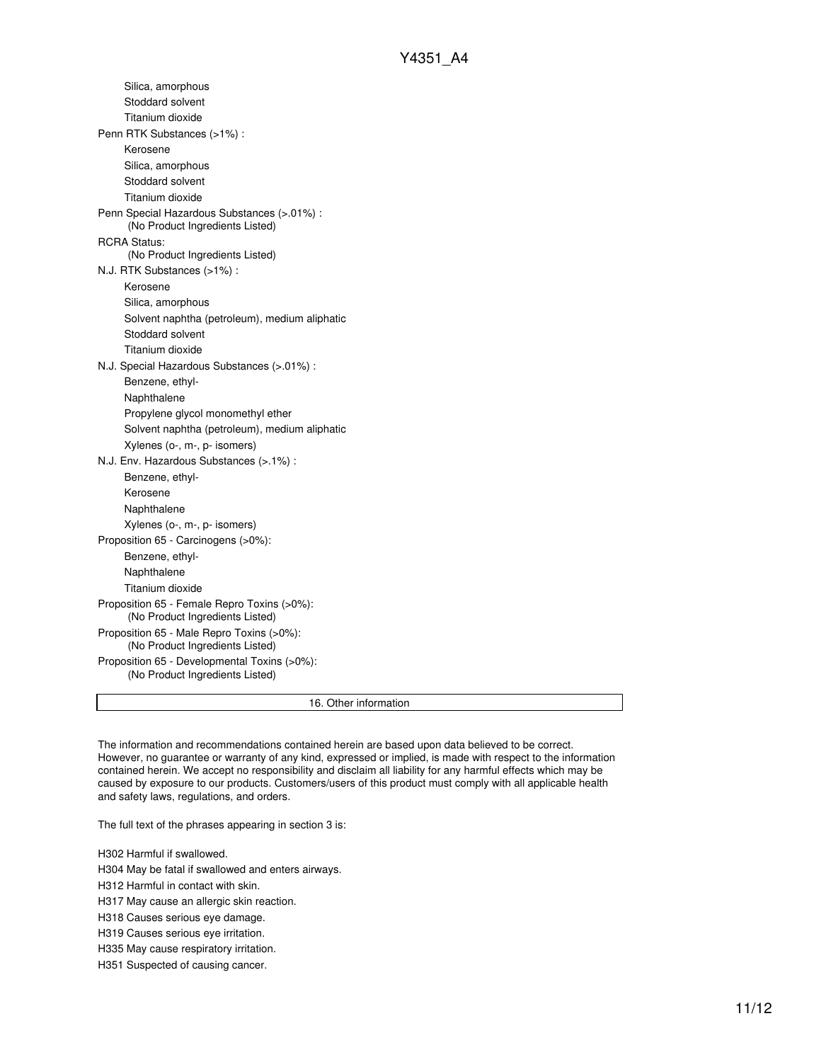| 16. Other information                                                           |
|---------------------------------------------------------------------------------|
| Proposition 65 - Developmental Toxins (>0%):<br>(No Product Ingredients Listed) |
| Proposition 65 - Male Repro Toxins (>0%):<br>(No Product Ingredients Listed)    |
| Proposition 65 - Female Repro Toxins (>0%):<br>(No Product Ingredients Listed)  |
| Titanium dioxide                                                                |
| Naphthalene                                                                     |
| Benzene, ethyl-                                                                 |
| Proposition 65 - Carcinogens (>0%):                                             |
| Xylenes (o-, m-, p- isomers)                                                    |
| Naphthalene                                                                     |
| Kerosene                                                                        |
| Benzene, ethyl-                                                                 |
| N.J. Env. Hazardous Substances (>.1%) :                                         |
| Xylenes (o-, m-, p- isomers)                                                    |
| Solvent naphtha (petroleum), medium aliphatic                                   |
| Propylene glycol monomethyl ether                                               |
| Naphthalene                                                                     |
| Benzene, ethyl-                                                                 |
| N.J. Special Hazardous Substances (>.01%) :                                     |
| Titanium dioxide                                                                |
| Stoddard solvent                                                                |
| Solvent naphtha (petroleum), medium aliphatic                                   |
| Silica, amorphous                                                               |
| Kerosene                                                                        |
| N.J. RTK Substances (>1%):                                                      |
| (No Product Ingredients Listed)                                                 |
| <b>RCRA Status:</b>                                                             |
| Penn Special Hazardous Substances (>.01%) :<br>(No Product Ingredients Listed)  |
| Titanium dioxide                                                                |
| Stoddard solvent                                                                |
| Silica, amorphous                                                               |
| Kerosene                                                                        |
| Penn RTK Substances (>1%) :                                                     |
| Titanium dioxide                                                                |
| Stoddard solvent                                                                |
| Silica, amorphous                                                               |
|                                                                                 |

The information and recommendations contained herein are based upon data believed to be correct. However, no guarantee or warranty of any kind, expressed or implied, is made with respect to the information contained herein. We accept no responsibility and disclaim all liability for any harmful effects which may be caused by exposure to our products. Customers/users of this product must comply with all applicable health and safety laws, regulations, and orders.

The full text of the phrases appearing in section 3 is:

H302 Harmful if swallowed.

H304 May be fatal if swallowed and enters airways.

H312 Harmful in contact with skin.

H317 May cause an allergic skin reaction.

H318 Causes serious eye damage.

H319 Causes serious eye irritation.

H335 May cause respiratory irritation.

H351 Suspected of causing cancer.